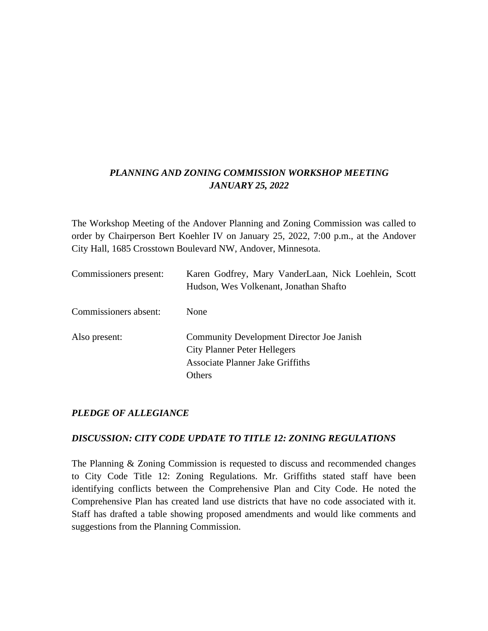# *PLANNING AND ZONING COMMISSION WORKSHOP MEETING JANUARY 25, 2022*

The Workshop Meeting of the Andover Planning and Zoning Commission was called to order by Chairperson Bert Koehler IV on January 25, 2022, 7:00 p.m., at the Andover City Hall, 1685 Crosstown Boulevard NW, Andover, Minnesota.

| Commissioners present: | Karen Godfrey, Mary VanderLaan, Nick Loehlein, Scott<br>Hudson, Wes Volkenant, Jonathan Shafto                                               |
|------------------------|----------------------------------------------------------------------------------------------------------------------------------------------|
| Commissioners absent:  | None                                                                                                                                         |
| Also present:          | <b>Community Development Director Joe Janish</b><br><b>City Planner Peter Hellegers</b><br>Associate Planner Jake Griffiths<br><b>Others</b> |

## *PLEDGE OF ALLEGIANCE*

## *DISCUSSION: CITY CODE UPDATE TO TITLE 12: ZONING REGULATIONS*

The Planning & Zoning Commission is requested to discuss and recommended changes to City Code Title 12: Zoning Regulations. Mr. Griffiths stated staff have been identifying conflicts between the Comprehensive Plan and City Code. He noted the Comprehensive Plan has created land use districts that have no code associated with it. Staff has drafted a table showing proposed amendments and would like comments and suggestions from the Planning Commission.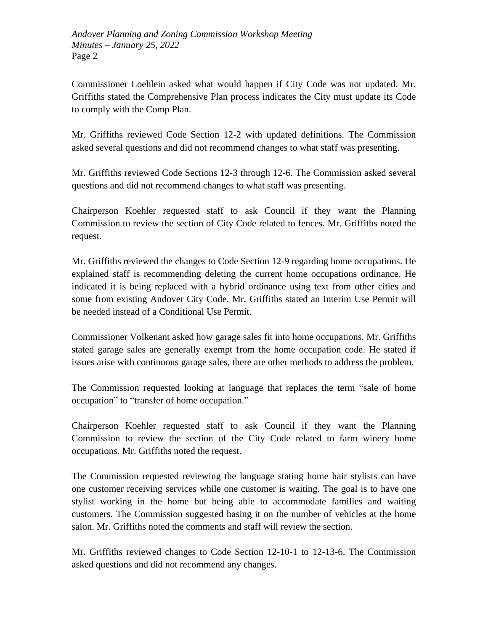*Andover Planning and Zoning Commission Workshop Meeting Minutes – January 25, 2022* Page 2

Commissioner Loehlein asked what would happen if City Code was not updated. Mr. Griffiths stated the Comprehensive Plan process indicates the City must update its Code to comply with the Comp Plan.

Mr. Griffiths reviewed Code Section 12-2 with updated definitions. The Commission asked several questions and did not recommend changes to what staff was presenting.

Mr. Griffiths reviewed Code Sections 12-3 through 12-6. The Commission asked several questions and did not recommend changes to what staff was presenting.

Chairperson Koehler requested staff to ask Council if they want the Planning Commission to review the section of City Code related to fences. Mr. Griffiths noted the request.

Mr. Griffiths reviewed the changes to Code Section 12-9 regarding home occupations. He explained staff is recommending deleting the current home occupations ordinance. He indicated it is being replaced with a hybrid ordinance using text from other cities and some from existing Andover City Code. Mr. Griffiths stated an Interim Use Permit will be needed instead of a Conditional Use Permit.

Commissioner Volkenant asked how garage sales fit into home occupations. Mr. Griffiths stated garage sales are generally exempt from the home occupation code. He stated if issues arise with continuous garage sales, there are other methods to address the problem.

The Commission requested looking at language that replaces the term "sale of home occupation" to "transfer of home occupation."

Chairperson Koehler requested staff to ask Council if they want the Planning Commission to review the section of the City Code related to farm winery home occupations. Mr. Griffiths noted the request.

The Commission requested reviewing the language stating home hair stylists can have one customer receiving services while one customer is waiting. The goal is to have one stylist working in the home but being able to accommodate families and waiting customers. The Commission suggested basing it on the number of vehicles at the home salon. Mr. Griffiths noted the comments and staff will review the section.

Mr. Griffiths reviewed changes to Code Section 12-10-1 to 12-13-6. The Commission asked questions and did not recommend any changes.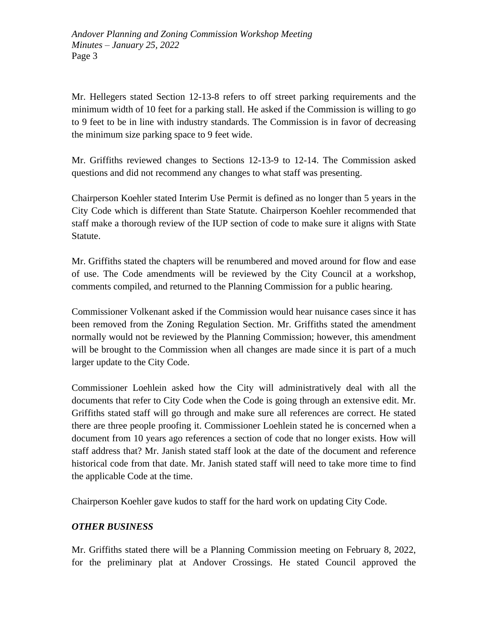*Andover Planning and Zoning Commission Workshop Meeting Minutes – January 25, 2022* Page 3

Mr. Hellegers stated Section 12-13-8 refers to off street parking requirements and the minimum width of 10 feet for a parking stall. He asked if the Commission is willing to go to 9 feet to be in line with industry standards. The Commission is in favor of decreasing the minimum size parking space to 9 feet wide.

Mr. Griffiths reviewed changes to Sections 12-13-9 to 12-14. The Commission asked questions and did not recommend any changes to what staff was presenting.

Chairperson Koehler stated Interim Use Permit is defined as no longer than 5 years in the City Code which is different than State Statute. Chairperson Koehler recommended that staff make a thorough review of the IUP section of code to make sure it aligns with State Statute.

Mr. Griffiths stated the chapters will be renumbered and moved around for flow and ease of use. The Code amendments will be reviewed by the City Council at a workshop, comments compiled, and returned to the Planning Commission for a public hearing.

Commissioner Volkenant asked if the Commission would hear nuisance cases since it has been removed from the Zoning Regulation Section. Mr. Griffiths stated the amendment normally would not be reviewed by the Planning Commission; however, this amendment will be brought to the Commission when all changes are made since it is part of a much larger update to the City Code.

Commissioner Loehlein asked how the City will administratively deal with all the documents that refer to City Code when the Code is going through an extensive edit. Mr. Griffiths stated staff will go through and make sure all references are correct. He stated there are three people proofing it. Commissioner Loehlein stated he is concerned when a document from 10 years ago references a section of code that no longer exists. How will staff address that? Mr. Janish stated staff look at the date of the document and reference historical code from that date. Mr. Janish stated staff will need to take more time to find the applicable Code at the time.

Chairperson Koehler gave kudos to staff for the hard work on updating City Code.

## *OTHER BUSINESS*

Mr. Griffiths stated there will be a Planning Commission meeting on February 8, 2022, for the preliminary plat at Andover Crossings. He stated Council approved the